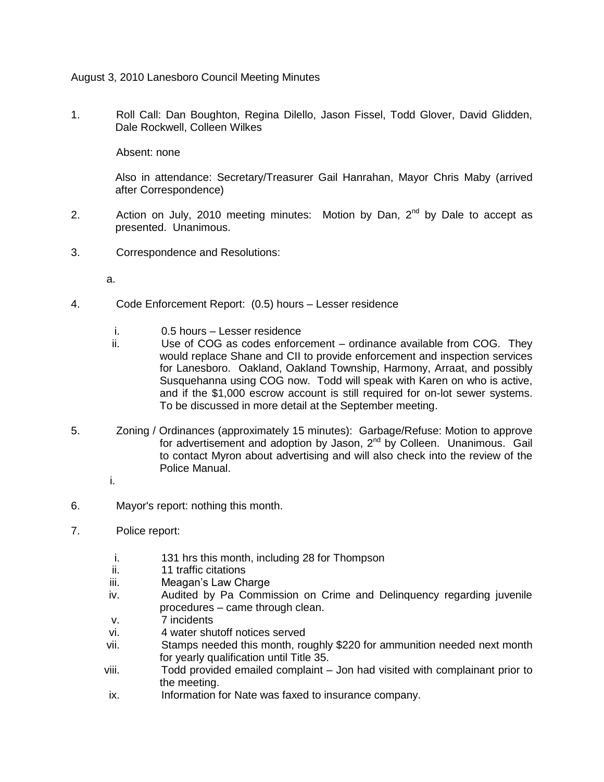August 3, 2010 Lanesboro Council Meeting Minutes

1. Roll Call: Dan Boughton, Regina Dilello, Jason Fissel, Todd Glover, David Glidden, Dale Rockwell, Colleen Wilkes

Absent: none

Also in attendance: Secretary/Treasurer Gail Hanrahan, Mayor Chris Maby (arrived after Correspondence)

- 2. Action on July, 2010 meeting minutes: Motion by Dan,  $2^{nd}$  by Dale to accept as presented. Unanimous.
- 3. Correspondence and Resolutions:
	- a.
- 4. Code Enforcement Report: (0.5) hours Lesser residence
	- i. 0.5 hours Lesser residence
	- ii. Use of COG as codes enforcement ordinance available from COG. They would replace Shane and CII to provide enforcement and inspection services for Lanesboro. Oakland, Oakland Township, Harmony, Arraat, and possibly Susquehanna using COG now. Todd will speak with Karen on who is active, and if the \$1,000 escrow account is still required for on-lot sewer systems. To be discussed in more detail at the September meeting.
- 5. Zoning / Ordinances (approximately 15 minutes): Garbage/Refuse: Motion to approve for advertisement and adoption by Jason, 2<sup>nd</sup> by Colleen. Unanimous. Gail to contact Myron about advertising and will also check into the review of the Police Manual.
	- i.
- 6. Mayor's report: nothing this month.
- 7. Police report:
	- i. 131 hrs this month, including 28 for Thompson
	- ii. 11 traffic citations
	- iii. Meagan's Law Charge
	- iv. Audited by Pa Commission on Crime and Delinquency regarding juvenile procedures – came through clean.
	- v. 7 incidents
	- vi. 4 water shutoff notices served
	- vii. Stamps needed this month, roughly \$220 for ammunition needed next month for yearly qualification until Title 35.
	- viii. Todd provided emailed complaint Jon had visited with complainant prior to the meeting.
	- ix. Information for Nate was faxed to insurance company.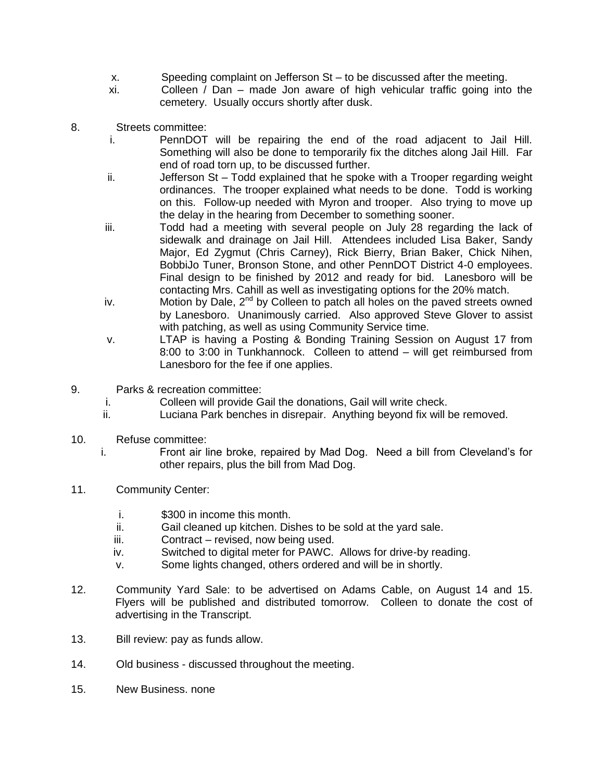- x. Speeding complaint on Jefferson St to be discussed after the meeting.
- xi. Colleen / Dan made Jon aware of high vehicular traffic going into the cemetery. Usually occurs shortly after dusk.
- 8. Streets committee:
	- i. PennDOT will be repairing the end of the road adjacent to Jail Hill. Something will also be done to temporarily fix the ditches along Jail Hill. Far end of road torn up, to be discussed further.
	- ii. Jefferson St Todd explained that he spoke with a Trooper regarding weight ordinances. The trooper explained what needs to be done. Todd is working on this. Follow-up needed with Myron and trooper. Also trying to move up the delay in the hearing from December to something sooner.
	- iii. Todd had a meeting with several people on July 28 regarding the lack of sidewalk and drainage on Jail Hill. Attendees included Lisa Baker, Sandy Major, Ed Zygmut (Chris Carney), Rick Bierry, Brian Baker, Chick Nihen, BobbiJo Tuner, Bronson Stone, and other PennDOT District 4-0 employees. Final design to be finished by 2012 and ready for bid. Lanesboro will be contacting Mrs. Cahill as well as investigating options for the 20% match.
	- iv. Motion by Dale,  $2^{nd}$  by Colleen to patch all holes on the paved streets owned by Lanesboro. Unanimously carried. Also approved Steve Glover to assist with patching, as well as using Community Service time.
	- v. LTAP is having a Posting & Bonding Training Session on August 17 from 8:00 to 3:00 in Tunkhannock. Colleen to attend – will get reimbursed from Lanesboro for the fee if one applies.
- 9. Parks & recreation committee:
	- i. Colleen will provide Gail the donations, Gail will write check.
	- ii. Luciana Park benches in disrepair. Anything beyond fix will be removed.
- 10. Refuse committee:
	- i. Front air line broke, repaired by Mad Dog. Need a bill from Cleveland's for other repairs, plus the bill from Mad Dog.
- 11. Community Center:
	- i. \$300 in income this month.
	- ii. Gail cleaned up kitchen. Dishes to be sold at the yard sale.
	- iii. Contract revised, now being used.
	- iv. Switched to digital meter for PAWC. Allows for drive-by reading.
	- v. Some lights changed, others ordered and will be in shortly.
- 12. Community Yard Sale: to be advertised on Adams Cable, on August 14 and 15. Flyers will be published and distributed tomorrow. Colleen to donate the cost of advertising in the Transcript.
- 13. Bill review: pay as funds allow.
- 14. Old business discussed throughout the meeting.
- 15. New Business. none